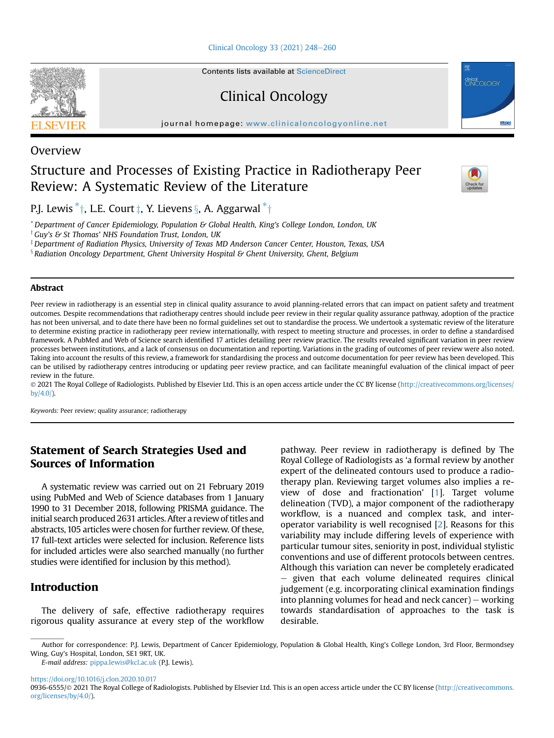[Clinical Oncology 33 \(2021\) 248](https://doi.org/10.1016/j.clon.2020.10.017)-[260](https://doi.org/10.1016/j.clon.2020.10.017)

Contents lists available at ScienceDirect

Clinical Oncology

journal homepage: [www.clinicaloncologyonline.net](http://www.clinicaloncologyonline.net)

# **Overview**

# Structure and Processes of Existing Practice in Radiotherapy Peer Review: A Systematic Review of the Literature

P.J. Lewis  $*$ <sub>†</sub>, L.E. Court  $\ddagger$ , Y. Lievens §, A. Aggarwal  $*$ <sup>+</sup>

<span id="page-0-0"></span>\*Department of Cancer Epidemiology, Population & Global Health, King's College London, London, UK

 $\dagger$ Guy's & St Thomas' NHS Foundation Trust, London, UK

<sup>‡</sup> Department of Radiation Physics, University of Texas MD Anderson Cancer Center, Houston, Texas, USA

 $\frac{1}{3}$  Radiation Oncology Department, Ghent University Hospital & Ghent University, Ghent, Belgium

# Abstract

Peer review in radiotherapy is an essential step in clinical quality assurance to avoid planning-related errors that can impact on patient safety and treatment outcomes. Despite recommendations that radiotherapy centres should include peer review in their regular quality assurance pathway, adoption of the practice has not been universal, and to date there have been no formal guidelines set out to standardise the process. We undertook a systematic review of the literature to determine existing practice in radiotherapy peer review internationally, with respect to meeting structure and processes, in order to define a standardised framework. A PubMed and Web of Science search identified 17 articles detailing peer review practice. The results revealed significant variation in peer review processes between institutions, and a lack of consensus on documentation and reporting. Variations in the grading of outcomes of peer review were also noted. Taking into account the results of this review, a framework for standardising the process and outcome documentation for peer review has been developed. This can be utilised by radiotherapy centres introducing or updating peer review practice, and can facilitate meaningful evaluation of the clinical impact of peer review in the future.

© 2021 The Royal College of Radiologists. Published by Elsevier Ltd. This is an open access article under the CC BY license ([http://creativecommons.org/licenses/](http://creativecommons.org/licenses/by/4.0/) [by/4.0/\)](http://creativecommons.org/licenses/by/4.0/).

Keywords: Peer review; quality assurance; radiotherapy

# Statement of Search Strategies Used and Sources of Information

A systematic review was carried out on 21 February 2019 using PubMed and Web of Science databases from 1 January 1990 to 31 December 2018, following PRISMA guidance. The initial search produced 2631 articles. After a review of titles and abstracts, 105 articles were chosen for further review. Of these, 17 full-text articles were selected for inclusion. Reference lists for included articles were also searched manually (no further studies were identified for inclusion by this method).

# Introduction

The delivery of safe, effective radiotherapy requires rigorous quality assurance at every step of the workflow pathway. Peer review in radiotherapy is defined by The Royal College of Radiologists as 'a formal review by another expert of the delineated contours used to produce a radiotherapy plan. Reviewing target volumes also implies a review of dose and fractionation' [\[1\]](#page-11-0). Target volume delineation (TVD), a major component of the radiotherapy workflow, is a nuanced and complex task, and interoperator variability is well recognised [[2](#page-11-1)]. Reasons for this variability may include differing levels of experience with particular tumour sites, seniority in post, individual stylistic conventions and use of different protocols between centres. Although this variation can never be completely eradicated  $-$  given that each volume delineated requires clinical judgement (e.g. incorporating clinical examination findings into planning volumes for head and neck cancer)  $-$  working towards standardisation of approaches to the task is desirable.

Author for correspondence: P.J. Lewis, Department of Cancer Epidemiology, Population & Global Health, King's College London, 3rd Floor, Bermondsey Wing, Guy's Hospital, London, SE1 9RT, UK.

E-mail address: [pippa.lewis@kcl.ac.uk](mailto:pippa.lewis@kcl.ac.uk) (P.J. Lewis).

<https://doi.org/10.1016/j.clon.2020.10.017>







<sup>0936-6555/@ 2021</sup> The Royal College of Radiologists. Published by Elsevier Ltd. This is an open access article under the CC BY license [\(http://creativecommons.](http://creativecommons.org/licenses/by/4.0/) [org/licenses/by/4.0/\)](http://creativecommons.org/licenses/by/4.0/).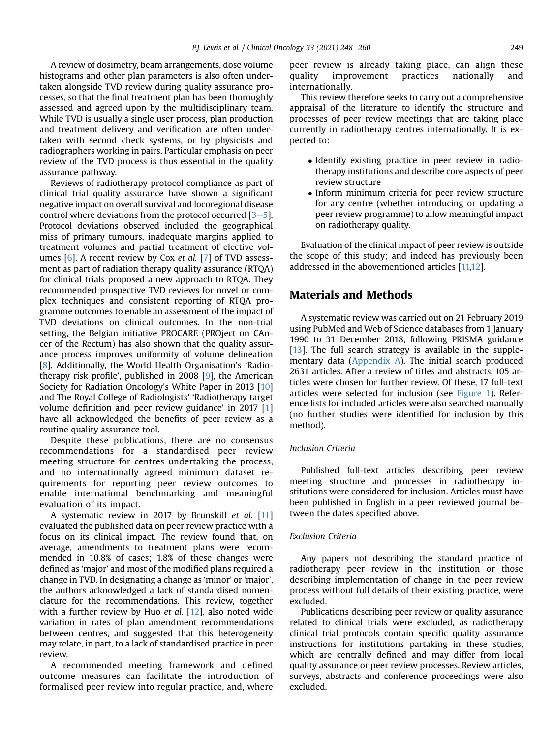A review of dosimetry, beam arrangements, dose volume histograms and other plan parameters is also often undertaken alongside TVD review during quality assurance processes, so that the final treatment plan has been thoroughly assessed and agreed upon by the multidisciplinary team. While TVD is usually a single user process, plan production and treatment delivery and verification are often undertaken with second check systems, or by physicists and radiographers working in pairs. Particular emphasis on peer review of the TVD process is thus essential in the quality assurance pathway.

Reviews of radiotherapy protocol compliance as part of clinical trial quality assurance have shown a significant negative impact on overall survival and locoregional disease control where deviations from the protocol occurred  $[3-5]$  $[3-5]$  $[3-5]$  $[3-5]$  $[3-5]$ . Protocol deviations observed included the geographical miss of primary tumours, inadequate margins applied to treatment volumes and partial treatment of elective volumes [\[6\]](#page-11-3). A recent review by Cox et al. [[7\]](#page-11-4) of TVD assessment as part of radiation therapy quality assurance (RTQA) for clinical trials proposed a new approach to RTQA. They recommended prospective TVD reviews for novel or complex techniques and consistent reporting of RTQA programme outcomes to enable an assessment of the impact of TVD deviations on clinical outcomes. In the non-trial setting, the Belgian initiative PROCARE (PROject on CAncer of the Rectum) has also shown that the quality assurance process improves uniformity of volume delineation [[8](#page-12-0)]. Additionally, the World Health Organisation's 'Radiotherapy risk profile', published in 2008 [[9\]](#page-12-1), the American Society for Radiation Oncology's White Paper in 2013 [\[10](#page-12-2)] and The Royal College of Radiologists' 'Radiotherapy target volume definition and peer review guidance' in 2017 [[1](#page-11-0)] have all acknowledged the benefits of peer review as a routine quality assurance tool.

Despite these publications, there are no consensus recommendations for a standardised peer review meeting structure for centres undertaking the process, and no internationally agreed minimum dataset requirements for reporting peer review outcomes to enable international benchmarking and meaningful evaluation of its impact.

A systematic review in 2017 by Brunskill et al. [[11](#page-12-3)] evaluated the published data on peer review practice with a focus on its clinical impact. The review found that, on average, amendments to treatment plans were recommended in 10.8% of cases; 1.8% of these changes were defined as 'major' and most of the modified plans required a change in TVD. In designating a change as 'minor' or 'major', the authors acknowledged a lack of standardised nomenclature for the recommendations. This review, together with a further review by Huo et al. [\[12\]](#page-12-4), also noted wide variation in rates of plan amendment recommendations between centres, and suggested that this heterogeneity may relate, in part, to a lack of standardised practice in peer review.

A recommended meeting framework and defined outcome measures can facilitate the introduction of formalised peer review into regular practice, and, where

peer review is already taking place, can align these quality improvement practices nationally and internationally.

This review therefore seeks to carry out a comprehensive appraisal of the literature to identify the structure and processes of peer review meetings that are taking place currently in radiotherapy centres internationally. It is expected to:

- Identify existing practice in peer review in radiotherapy institutions and describe core aspects of peer review structure
- Inform minimum criteria for peer review structure for any centre (whether introducing or updating a peer review programme) to allow meaningful impact on radiotherapy quality.

Evaluation of the clinical impact of peer review is outside the scope of this study; and indeed has previously been addressed in the abovementioned articles [\[11,](#page-12-3)[12\]](#page-12-4).

# Materials and Methods

A systematic review was carried out on 21 February 2019 using PubMed and Web of Science databases from 1 January 1990 to 31 December 2018, following PRISMA guidance [[13\]](#page-12-5). The full search strategy is available in the supplementary data (Appendix A). The initial search produced 2631 articles. After a review of titles and abstracts, 105 articles were chosen for further review. Of these, 17 full-text articles were selected for inclusion (see [Figure 1](#page-2-0)). Reference lists for included articles were also searched manually (no further studies were identified for inclusion by this method).

# Inclusion Criteria

Published full-text articles describing peer review meeting structure and processes in radiotherapy institutions were considered for inclusion. Articles must have been published in English in a peer reviewed journal between the dates specified above.

## Exclusion Criteria

Any papers not describing the standard practice of radiotherapy peer review in the institution or those describing implementation of change in the peer review process without full details of their existing practice, were excluded.

Publications describing peer review or quality assurance related to clinical trials were excluded, as radiotherapy clinical trial protocols contain specific quality assurance instructions for institutions partaking in these studies, which are centrally defined and may differ from local quality assurance or peer review processes. Review articles, surveys, abstracts and conference proceedings were also excluded.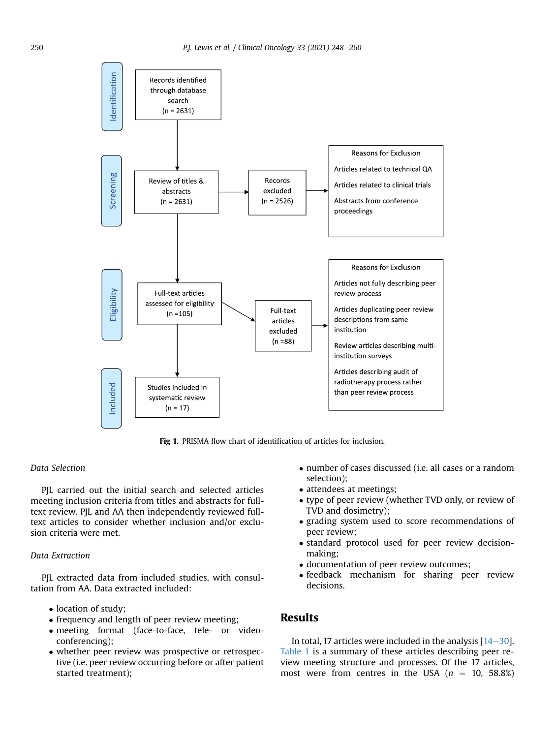<span id="page-2-0"></span>

Fig 1. PRISMA flow chart of identification of articles for inclusion.

# Data Selection

PJL carried out the initial search and selected articles meeting inclusion criteria from titles and abstracts for fulltext review. PJL and AA then independently reviewed fulltext articles to consider whether inclusion and/or exclusion criteria were met.

# Data Extraction

PIL extracted data from included studies, with consultation from AA. Data extracted included:

- location of study;
- frequency and length of peer review meeting;
- meeting format (face-to-face, tele- or videoconferencing);
- whether peer review was prospective or retrospective (i.e. peer review occurring before or after patient started treatment);
- number of cases discussed (i.e. all cases or a random selection);
- attendees at meetings;
- type of peer review (whether TVD only, or review of TVD and dosimetry);
- grading system used to score recommendations of peer review;
- standard protocol used for peer review decisionmaking;
- documentation of peer review outcomes;
- feedback mechanism for sharing peer review decisions.

# Results

In total, 17 articles were included in the analysis  $[14-30]$  $[14-30]$  $[14-30]$  $[14-30]$  $[14-30]$ . [Table 1](#page-4-0) is a summary of these articles describing peer review meeting structure and processes. Of the 17 articles, most were from centres in the USA ( $n = 10, 58.8\%$ )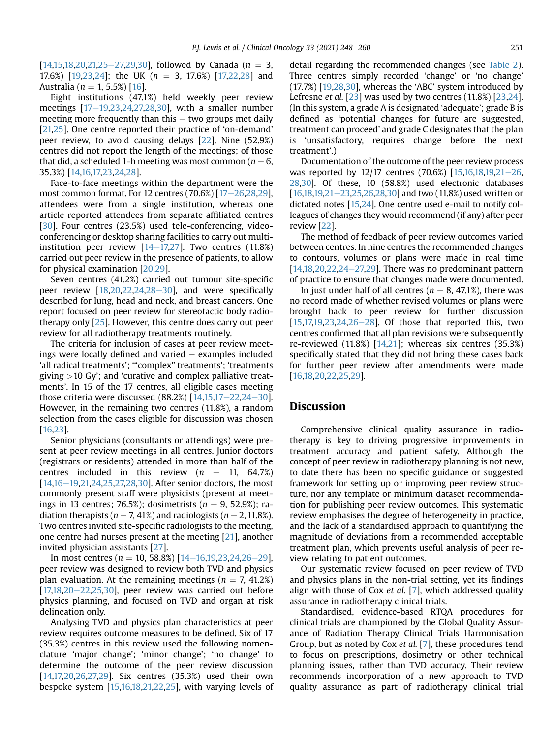[[14,](#page-12-6)[15](#page-12-7),[18,](#page-12-8)[20,](#page-12-9)[21,](#page-12-10)[25](#page-12-11)-[27,](#page-12-11)[29,](#page-12-12)[30\]](#page-12-13), followed by Canada ( $n = 3$ , 17.6%) [[19,](#page-12-14)[23,](#page-12-15)[24](#page-12-16)]; the UK ( $n = 3$ , 17.6%) [\[17,](#page-12-17)[22](#page-12-18)[,28](#page-12-19)] and Australia ( $n = 1, 5.5\%$ ) [[16](#page-12-20)].

Eight institutions (47.1%) held weekly peer review meetings  $[17-19,23,24,27,28,30]$  $[17-19,23,24,27,28,30]$  $[17-19,23,24,27,28,30]$  $[17-19,23,24,27,28,30]$  $[17-19,23,24,27,28,30]$  $[17-19,23,24,27,28,30]$  $[17-19,23,24,27,28,30]$  $[17-19,23,24,27,28,30]$  $[17-19,23,24,27,28,30]$  $[17-19,23,24,27,28,30]$ , with a smaller number meeting more frequently than this  $-$  two groups met daily [[21,](#page-12-10)[25](#page-12-11)]. One centre reported their practice of 'on-demand' peer review, to avoid causing delays [[22](#page-12-18)]. Nine (52.9%) centres did not report the length of the meetings; of those that did, a scheduled 1-h meeting was most common ( $n = 6$ , 35.3%) [[14,](#page-12-6)[16](#page-12-20),[17,](#page-12-17)[23,](#page-12-15)[24,](#page-12-16)[28](#page-12-19)].

Face-to-face meetings within the department were the most common format. For 12 centres  $(70.6%)$   $[17–26,28,29]$  $[17–26,28,29]$  $[17–26,28,29]$  $[17–26,28,29]$  $[17–26,28,29]$  $[17–26,28,29]$  $[17–26,28,29]$ , attendees were from a single institution, whereas one article reported attendees from separate affiliated centres [[30\]](#page-12-13). Four centres (23.5%) used tele-conferencing, videoconferencing or desktop sharing facilities to carry out multiinstitution peer review  $[14–17,27]$  $[14–17,27]$  $[14–17,27]$  $[14–17,27]$  $[14–17,27]$ . Two centres (11.8%) carried out peer review in the presence of patients, to allow for physical examination [[20,](#page-12-9)[29](#page-12-12)].

Seven centres (41.2%) carried out tumour site-specific peer review  $[18, 20, 22, 24, 28-30]$  $[18, 20, 22, 24, 28-30]$  $[18, 20, 22, 24, 28-30]$  $[18, 20, 22, 24, 28-30]$  $[18, 20, 22, 24, 28-30]$  $[18, 20, 22, 24, 28-30]$  $[18, 20, 22, 24, 28-30]$  $[18, 20, 22, 24, 28-30]$ , and were specifically described for lung, head and neck, and breast cancers. One report focused on peer review for stereotactic body radiotherapy only [\[25\]](#page-12-11). However, this centre does carry out peer review for all radiotherapy treatments routinely.

The criteria for inclusion of cases at peer review meetings were locally defined and varied  $-$  examples included 'all radical treatments'; '"complex" treatments'; 'treatments giving  $>10$  Gy'; and 'curative and complex palliative treatments'. In 15 of the 17 centres, all eligible cases meeting those criteria were discussed  $(88.2%)$   $[14,15,17–22,24–30]$  $[14,15,17–22,24–30]$  $[14,15,17–22,24–30]$  $[14,15,17–22,24–30]$  $[14,15,17–22,24–30]$  $[14,15,17–22,24–30]$  $[14,15,17–22,24–30]$  $[14,15,17–22,24–30]$  $[14,15,17–22,24–30]$  $[14,15,17–22,24–30]$ . However, in the remaining two centres (11.8%), a random selection from the cases eligible for discussion was chosen [[16,](#page-12-20)[23\]](#page-12-15).

Senior physicians (consultants or attendings) were present at peer review meetings in all centres. Junior doctors (registrars or residents) attended in more than half of the centres included in this review  $(n = 11, 64.7\%)$  $[14,16-19,21,24,25,27,28,30]$  $[14,16-19,21,24,25,27,28,30]$  $[14,16-19,21,24,25,27,28,30]$  $[14,16-19,21,24,25,27,28,30]$  $[14,16-19,21,24,25,27,28,30]$  $[14,16-19,21,24,25,27,28,30]$  $[14,16-19,21,24,25,27,28,30]$  $[14,16-19,21,24,25,27,28,30]$  $[14,16-19,21,24,25,27,28,30]$  $[14,16-19,21,24,25,27,28,30]$  $[14,16-19,21,24,25,27,28,30]$  $[14,16-19,21,24,25,27,28,30]$ . After senior doctors, the most commonly present staff were physicists (present at meetings in 13 centres; 76.5%); dosimetrists ( $n = 9$ , 52.9%); radiation therapists ( $n = 7,41\%$ ) and radiologists ( $n = 2,11.8\%$ ). Two centres invited site-specific radiologists to the meeting, one centre had nurses present at the meeting [\[21](#page-12-10)], another invited physician assistants [[27\]](#page-12-21).

In most centres ( $n = 10, 58.8\%$ ) [[14](#page-12-6)-[16,](#page-12-6)[19](#page-12-14)[,23,](#page-12-15)[24,](#page-12-16)[26](#page-12-22)-[29](#page-12-22)], peer review was designed to review both TVD and physics plan evaluation. At the remaining meetings ( $n = 7, 41.2\%)$  $[17,18,20-22,25,30]$  $[17,18,20-22,25,30]$  $[17,18,20-22,25,30]$  $[17,18,20-22,25,30]$  $[17,18,20-22,25,30]$  $[17,18,20-22,25,30]$  $[17,18,20-22,25,30]$  $[17,18,20-22,25,30]$  $[17,18,20-22,25,30]$ , peer review was carried out before physics planning, and focused on TVD and organ at risk delineation only.

Analysing TVD and physics plan characteristics at peer review requires outcome measures to be defined. Six of 17 (35.3%) centres in this review used the following nomenclature 'major change'; 'minor change'; 'no change' to determine the outcome of the peer review discussion [[14,](#page-12-6)[17,](#page-12-17)[20](#page-12-9)[,26](#page-12-22)[,27,](#page-12-21)[29\]](#page-12-12). Six centres (35.3%) used their own bespoke system [\[15](#page-12-7),[16](#page-12-20)[,18](#page-12-8),[21,](#page-12-10)[22](#page-12-18)[,25\]](#page-12-11), with varying levels of detail regarding the recommended changes (see [Table 2](#page-7-0)). Three centres simply recorded 'change' or 'no change' (17.7%) [[19,](#page-12-14)[28,](#page-12-19)[30](#page-12-13)], whereas the 'ABC' system introduced by Lefresne *et al.* [\[23\]](#page-12-15) was used by two centres  $(11.8\%)$  [[23](#page-12-15),[24](#page-12-16)]. (In this system, a grade A is designated 'adequate'; grade B is defined as 'potential changes for future are suggested, treatment can proceed' and grade C designates that the plan is 'unsatisfactory, requires change before the next treatment'.)

Documentation of the outcome of the peer review process was reported by  $12/17$  centres (70.6%) [[15](#page-12-7)[,16,](#page-12-20)[18,](#page-12-8)[19](#page-12-14)[,21](#page-12-10)-[26](#page-12-10), [28](#page-12-19)[,30\]](#page-12-13). Of these, 10 (58.8%) used electronic databases  $[16,18,19,21-23,25,26,28,30]$  $[16,18,19,21-23,25,26,28,30]$  $[16,18,19,21-23,25,26,28,30]$  $[16,18,19,21-23,25,26,28,30]$  $[16,18,19,21-23,25,26,28,30]$  $[16,18,19,21-23,25,26,28,30]$  $[16,18,19,21-23,25,26,28,30]$  $[16,18,19,21-23,25,26,28,30]$  $[16,18,19,21-23,25,26,28,30]$  $[16,18,19,21-23,25,26,28,30]$  $[16,18,19,21-23,25,26,28,30]$  $[16,18,19,21-23,25,26,28,30]$  and two (11.8%) used written or dictated notes [[15,](#page-12-7)[24](#page-12-16)]. One centre used e-mail to notify colleagues of changes they would recommend (if any) after peer review [[22](#page-12-18)].

The method of feedback of peer review outcomes varied between centres. In nine centres the recommended changes to contours, volumes or plans were made in real time  $[14,18,20,22,24-27,29]$  $[14,18,20,22,24-27,29]$  $[14,18,20,22,24-27,29]$  $[14,18,20,22,24-27,29]$  $[14,18,20,22,24-27,29]$  $[14,18,20,22,24-27,29]$  $[14,18,20,22,24-27,29]$  $[14,18,20,22,24-27,29]$  $[14,18,20,22,24-27,29]$  $[14,18,20,22,24-27,29]$  $[14,18,20,22,24-27,29]$ . There was no predominant pattern of practice to ensure that changes made were documented.

In just under half of all centres ( $n = 8, 47.1\%$ ), there was no record made of whether revised volumes or plans were brought back to peer review for further discussion  $[15,17,19,23,24,26-28]$  $[15,17,19,23,24,26-28]$  $[15,17,19,23,24,26-28]$  $[15,17,19,23,24,26-28]$  $[15,17,19,23,24,26-28]$  $[15,17,19,23,24,26-28]$  $[15,17,19,23,24,26-28]$  $[15,17,19,23,24,26-28]$  $[15,17,19,23,24,26-28]$  $[15,17,19,23,24,26-28]$ . Of those that reported this, two centres confirmed that all plan revisions were subsequently re-reviewed (11.8%) [\[14](#page-12-6)[,21\]](#page-12-10); whereas six centres (35.3%) specifically stated that they did not bring these cases back for further peer review after amendments were made [[16,](#page-12-20)[18](#page-12-8),[20](#page-12-9)[,22](#page-12-18)[,25,](#page-12-11)[29\]](#page-12-12).

# **Discussion**

Comprehensive clinical quality assurance in radiotherapy is key to driving progressive improvements in treatment accuracy and patient safety. Although the concept of peer review in radiotherapy planning is not new, to date there has been no specific guidance or suggested framework for setting up or improving peer review structure, nor any template or minimum dataset recommendation for publishing peer review outcomes. This systematic review emphasises the degree of heterogeneity in practice, and the lack of a standardised approach to quantifying the magnitude of deviations from a recommended acceptable treatment plan, which prevents useful analysis of peer review relating to patient outcomes.

Our systematic review focused on peer review of TVD and physics plans in the non-trial setting, yet its findings align with those of Cox et al. [\[7](#page-11-4)], which addressed quality assurance in radiotherapy clinical trials.

Standardised, evidence-based RTQA procedures for clinical trials are championed by the Global Quality Assurance of Radiation Therapy Clinical Trials Harmonisation Group, but as noted by Cox et al. [[7\]](#page-11-4), these procedures tend to focus on prescriptions, dosimetry or other technical planning issues, rather than TVD accuracy. Their review recommends incorporation of a new approach to TVD quality assurance as part of radiotherapy clinical trial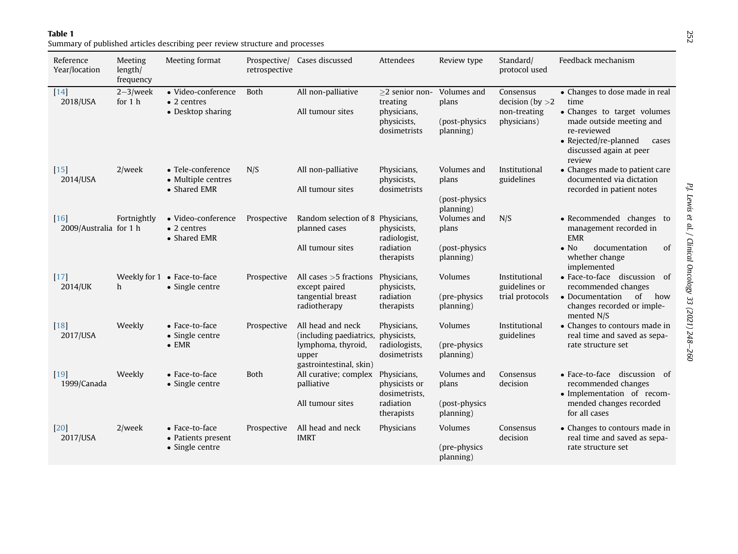**Table 1**<br>Summary of published articles describing peer review structure and processes

<span id="page-4-0"></span>

| Reference<br>Year/location       | Meeting<br>length/<br>frequency | Meeting format                                                 | retrospective | Prospective/ Cases discussed                                                                           | Attendees                                                                | Review type                                         | Standard/<br>protocol used                                    | Feedback mechanism                                                                                                                                                                      |
|----------------------------------|---------------------------------|----------------------------------------------------------------|---------------|--------------------------------------------------------------------------------------------------------|--------------------------------------------------------------------------|-----------------------------------------------------|---------------------------------------------------------------|-----------------------------------------------------------------------------------------------------------------------------------------------------------------------------------------|
| $[14]$<br>2018/USA               | $2-3$ /week<br>for 1 h          | • Video-conference<br>$\bullet$ 2 centres<br>• Desktop sharing | Both          | All non-palliative<br>All tumour sites                                                                 | >2 senior non-<br>treating<br>physicians,<br>physicists,<br>dosimetrists | Volumes and<br>plans<br>(post-physics)<br>planning) | Consensus<br>decision (by $>2$<br>non-treating<br>physicians) | • Changes to dose made in real<br>time<br>• Changes to target volumes<br>made outside meeting and<br>re-reviewed<br>• Rejected/re-planned<br>cases<br>discussed again at peer<br>review |
| $[15]$<br>2014/USA               | $2$ /week                       | • Tele-conference<br>• Multiple centres<br>• Shared EMR        | N/S           | All non-palliative<br>All tumour sites                                                                 | Physicians,<br>physicists,<br>dosimetrists                               | Volumes and<br>plans<br>(post-physics<br>planning)  | Institutional<br>guidelines                                   | • Changes made to patient care<br>documented via dictation<br>recorded in patient notes                                                                                                 |
| $[16]$<br>2009/Australia for 1 h | Fortnightly                     | • Video-conference<br>$\bullet$ 2 centres<br>• Shared EMR      | Prospective   | Random selection of 8 Physicians,<br>planned cases<br>All tumour sites                                 | physicists,<br>radiologist,<br>radiation<br>therapists                   | Volumes and<br>plans<br>(post-physics)<br>planning) | N/S                                                           | • Recommended changes to<br>management recorded in<br><b>EMR</b><br>$\bullet$ No<br>documentation<br>of<br>whether change<br>implemented                                                |
| $[17]$<br>2014/UK                | h.                              | Weekly for $1 \bullet$ Face-to-face<br>• Single centre         | Prospective   | All cases >5 fractions Physicians,<br>except paired<br>tangential breast<br>radiotherapy               | physicists,<br>radiation<br>therapists                                   | Volumes<br>(pre-physics<br>planning)                | Institutional<br>guidelines or<br>trial protocols             | · Face-to-face discussion of<br>recommended changes<br>• Documentation<br>of<br>how<br>changes recorded or imple-<br>mented N/S                                                         |
| $[18]$<br>2017/USA               | Weekly                          | • Face-to-face<br>• Single centre<br>$\bullet$ EMR             | Prospective   | All head and neck<br>(including paediatrics,<br>lymphoma, thyroid,<br>upper<br>gastrointestinal, skin) | Physicians,<br>physicists,<br>radiologists,<br>dosimetrists              | Volumes<br>(pre-physics<br>planning)                | Institutional<br>guidelines                                   | • Changes to contours made in<br>real time and saved as sepa-<br>rate structure set                                                                                                     |
| $[19]$<br>1999/Canada            | Weekly                          | • Face-to-face<br>• Single centre                              | Both          | All curative; complex Physicians,<br>palliative<br>All tumour sites                                    | physicists or<br>dosimetrists,<br>radiation<br>therapists                | Volumes and<br>plans<br>(post-physics<br>planning)  | Consensus<br>decision                                         | • Face-to-face discussion of<br>recommended changes<br>· Implementation of recom-<br>mended changes recorded<br>for all cases                                                           |
| $\left[20\right]$<br>2017/USA    | $2$ /week                       | • Face-to-face<br>• Patients present<br>• Single centre        | Prospective   | All head and neck<br><b>IMRT</b>                                                                       | Physicians                                                               | Volumes<br>(pre-physics)<br>planning)               | Consensus<br>decision                                         | • Changes to contours made in<br>real time and saved as sepa-<br>rate structure set                                                                                                     |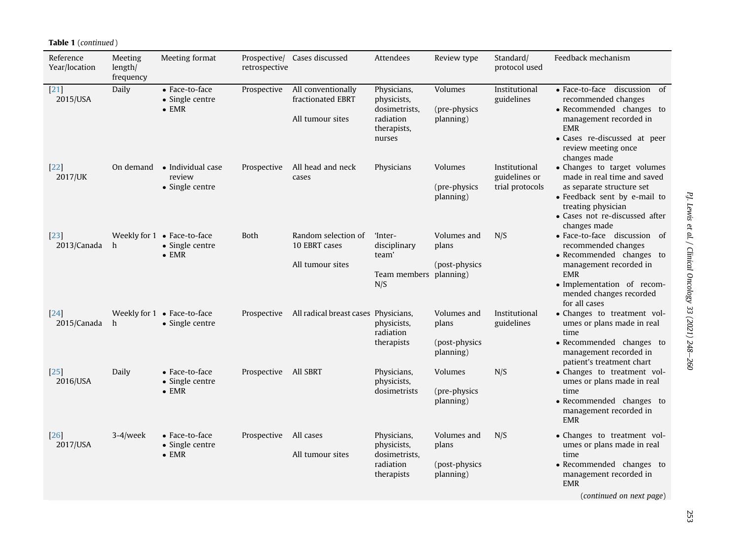| <b>Table 1</b> (continued) |                                        |                                                                       |                      |                                                             |                                                                                   |                                                     |                                                   |                                                                                                                                                                                                   |
|----------------------------|----------------------------------------|-----------------------------------------------------------------------|----------------------|-------------------------------------------------------------|-----------------------------------------------------------------------------------|-----------------------------------------------------|---------------------------------------------------|---------------------------------------------------------------------------------------------------------------------------------------------------------------------------------------------------|
| Reference<br>Year/location | <b>Meeting</b><br>length/<br>frequency | Meeting format                                                        | retrospective        | Prospective/ Cases discussed                                | Attendees                                                                         | Review type                                         | Standard/<br>protocol used                        | Feedback mechanism                                                                                                                                                                                |
| $[21]$<br>2015/USA         | Daily                                  | • Face-to-face<br>• Single centre<br>$\bullet$ EMR                    | Prospective          | All conventionally<br>fractionated EBRT<br>All tumour sites | Physicians,<br>physicists,<br>dosimetrists,<br>radiation<br>therapists,<br>nurses | Volumes<br>(pre-physics<br>planning)                | Institutional<br>guidelines                       | · Face-to-face discussion of<br>recommended changes<br>• Recommended changes to<br>management recorded in<br><b>EMR</b><br>• Cases re-discussed at peer<br>review meeting once<br>changes made    |
| $[22]$<br>2017/UK          | On demand                              | • Individual case<br>review<br>• Single centre                        | Prospective          | All head and neck<br>cases                                  | Physicians                                                                        | Volumes<br>(pre-physics)<br>planning)               | Institutional<br>guidelines or<br>trial protocols | • Changes to target volumes<br>made in real time and saved<br>as separate structure set<br>· Feedback sent by e-mail to<br>treating physician<br>• Cases not re-discussed after<br>changes made   |
| $[23]$<br>2013/Canada      | h                                      | Weekly for $1 \cdot$ Face-to-face<br>• Single centre<br>$\bullet$ EMR | <b>Both</b>          | Random selection of<br>10 EBRT cases<br>All tumour sites    | 'Inter-<br>disciplinary<br>team'<br>Team members planning)<br>N/S                 | Volumes and<br>plans<br>(post-physics               | N/S                                               | • Face-to-face discussion of<br>recommended changes<br>• Recommended changes to<br>management recorded in<br><b>EMR</b><br>· Implementation of recom-<br>mended changes recorded<br>for all cases |
| [24]<br>2015/Canada        | h                                      | Weekly for 1 • Face-to-face<br>• Single centre                        |                      | Prospective All radical breast cases Physicians,            | physicists,<br>radiation<br>therapists                                            | Volumes and<br>plans<br>(post-physics)<br>planning) | Institutional<br>guidelines                       | · Changes to treatment vol-<br>umes or plans made in real<br>time<br>· Recommended changes to<br>management recorded in<br>patient's treatment chart                                              |
| [25]<br>2016/USA           | Daily                                  | • Face-to-face<br>• Single centre<br>$\bullet$ EMR                    | Prospective All SBRT |                                                             | Physicians,<br>physicists,<br>dosimetrists                                        | Volumes<br>(pre-physics<br>planning)                | N/S                                               | • Changes to treatment vol-<br>umes or plans made in real<br>time<br>· Recommended changes to<br>management recorded in<br><b>EMR</b>                                                             |
| $[26]$<br>2017/USA         | 3-4/week                               | • Face-to-face<br>• Single centre<br>$\bullet$ EMR                    | Prospective          | All cases<br>All tumour sites                               | Physicians,<br>physicists,<br>dosimetrists.<br>radiation<br>therapists            | Volumes and<br>plans<br>(post-physics<br>planning)  | N/S                                               | • Changes to treatment vol-<br>umes or plans made in real<br>time<br>· Recommended changes to<br>management recorded in<br>EMR                                                                    |

(continued on next page)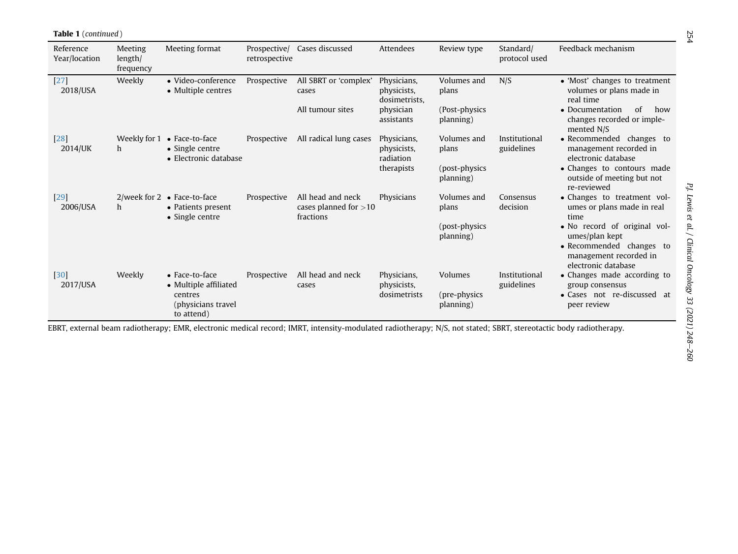| Reference<br>Year/location | <b>Meeting</b><br>length/<br>frequency | Meeting format                                                             | retrospective | Prospective/ Cases discussed                              | Attendees                                   | Review type                 | Standard/<br>protocol used  | Feedback mechanism                                                                                                          |
|----------------------------|----------------------------------------|----------------------------------------------------------------------------|---------------|-----------------------------------------------------------|---------------------------------------------|-----------------------------|-----------------------------|-----------------------------------------------------------------------------------------------------------------------------|
| $[27]$<br>2018/USA         | Weekly                                 | • Video-conference<br>• Multiple centres                                   | Prospective   | All SBRT or 'complex'<br>cases                            | Physicians,<br>physicists,<br>dosimetrists. | Volumes and<br>plans        | N/S                         | • 'Most' changes to treatment<br>volumes or plans made in<br>real time                                                      |
|                            |                                        |                                                                            |               | All tumour sites                                          | physician<br>assistants                     | (Post-physics)<br>planning) |                             | <sub>of</sub><br>• Documentation<br>how<br>changes recorded or imple-<br>mented N/S                                         |
| $[28]$<br>2014/UK          | Weekly for 1<br>h.                     | $\bullet$ Face-to-face<br>• Single centre<br>• Electronic database         | Prospective   | All radical lung cases                                    | Physicians,<br>physicists,<br>radiation     | Volumes and<br>plans        | Institutional<br>guidelines | · Recommended changes to<br>management recorded in<br>electronic database                                                   |
|                            |                                        |                                                                            |               |                                                           | therapists                                  | (post-physics)<br>planning) |                             | • Changes to contours made<br>outside of meeting but not<br>re-reviewed                                                     |
| $[29]$<br>2006/USA         | h.                                     | 2/week for $2 \cdot$ Face-to-face<br>• Patients present<br>• Single centre | Prospective   | All head and neck<br>cases planned for $>10$<br>fractions | Physicians                                  | Volumes and<br>plans        | Consensus<br>decision       | • Changes to treatment vol-<br>umes or plans made in real<br>time                                                           |
|                            |                                        |                                                                            |               |                                                           |                                             | (post-physics)<br>planning) |                             | • No record of original vol-<br>umes/plan kept<br>• Recommended changes to<br>management recorded in<br>electronic database |
| $[30]$<br>2017/USA         | Weekly                                 | • Face-to-face<br>• Multiple affiliated                                    | Prospective   | All head and neck<br>cases                                | Physicians,<br>physicists,                  | Volumes                     | Institutional<br>guidelines | • Changes made according to<br>group consensus                                                                              |
|                            |                                        | centres<br>(physicians travel<br>to attend)                                |               |                                                           | dosimetrists                                | (pre-physics)<br>planning)  |                             | • Cases not re-discussed at<br>peer review                                                                                  |

**Table 1** (continued)

EBRT, external beam radiotherapy; EMR, electronic medical record; IMRT, intensity-modulated radiotherapy; N/S, not stated; SBRT, stereotactic body radiotherapy.

254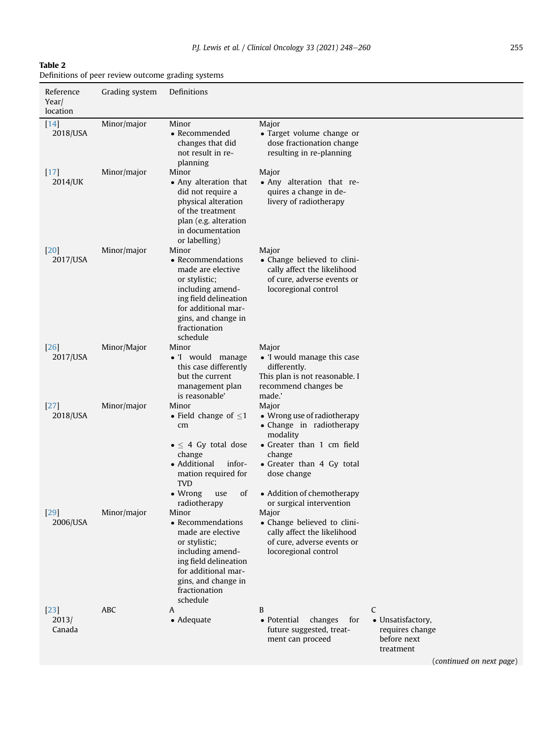# <span id="page-7-0"></span>Table 2

Definitions of peer review outcome grading systems

| Reference<br>Year/<br>location | Grading system | Definitions                                                                                                                                                                                          |                                                                                                                                                                                                                           |                                                                                                              |
|--------------------------------|----------------|------------------------------------------------------------------------------------------------------------------------------------------------------------------------------------------------------|---------------------------------------------------------------------------------------------------------------------------------------------------------------------------------------------------------------------------|--------------------------------------------------------------------------------------------------------------|
| $[14]$<br>2018/USA             | Minor/major    | Minor<br>• Recommended<br>changes that did<br>not result in re-<br>planning                                                                                                                          | Major<br>• Target volume change or<br>dose fractionation change<br>resulting in re-planning                                                                                                                               |                                                                                                              |
| $[17]$<br>2014/UK              | Minor/major    | Minor<br>• Any alteration that<br>did not require a<br>physical alteration<br>of the treatment<br>plan (e.g. alteration<br>in documentation<br>or labelling)                                         | Major<br>• Any alteration that re-<br>quires a change in de-<br>livery of radiotherapy                                                                                                                                    |                                                                                                              |
| $[20]$<br>2017/USA             | Minor/major    | Minor<br>• Recommendations<br>made are elective<br>or stylistic;<br>including amend-<br>ing field delineation<br>for additional mar-<br>gins, and change in<br>fractionation<br>schedule             | Major<br>• Change believed to clini-<br>cally affect the likelihood<br>of cure, adverse events or<br>locoregional control                                                                                                 |                                                                                                              |
| $[26]$<br>2017/USA             | Minor/Major    | Minor<br>• 'I would manage<br>this case differently<br>but the current<br>management plan<br>is reasonable'                                                                                          | Major<br>• 'I would manage this case<br>differently.<br>This plan is not reasonable. I<br>recommend changes be<br>made.'                                                                                                  |                                                                                                              |
| $[27]$<br>2018/USA             | Minor/major    | Minor<br>• Field change of $\leq$ 1<br>cm<br>$\bullet \leq 4$ Gy total dose<br>change<br>• Additional<br>infor-<br>mation required for<br><b>TVD</b><br>$\bullet$ Wrong<br>οf<br>use<br>radiotherapy | Major<br>• Wrong use of radiotherapy<br>• Change in radiotherapy<br>modality<br>• Greater than 1 cm field<br>change<br>• Greater than 4 Gy total<br>dose change<br>• Addition of chemotherapy<br>or surgical intervention |                                                                                                              |
| $[29]$<br>2006/USA             | Minor/major    | Minor<br>• Recommendations<br>made are elective<br>or stylistic;<br>including amend-<br>ing field delineation<br>for additional mar-<br>gins, and change in<br>fractionation<br>schedule             | Major<br>• Change believed to clini-<br>cally affect the likelihood<br>of cure, adverse events or<br>locoregional control                                                                                                 |                                                                                                              |
| $[23]$<br>2013/<br>Canada      | <b>ABC</b>     | A<br>$\bullet$ Adequate                                                                                                                                                                              | B<br>for<br>• Potential<br>changes<br>future suggested, treat-<br>ment can proceed                                                                                                                                        | $\mathsf{C}$<br>• Unsatisfactory,<br>requires change<br>before next<br>treatment<br>(continued on next page) |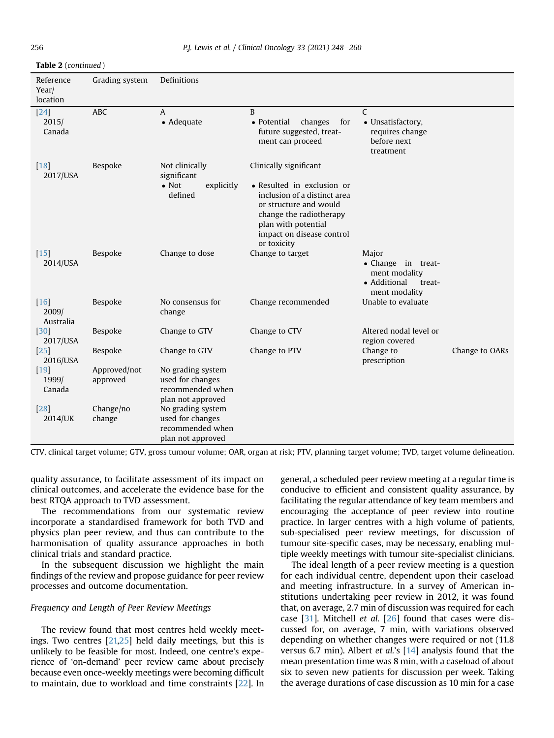#### Table 2 (continued)

| Reference<br>Year/<br>location | Grading system           | Definitions                                                                    |                                                                                                                                                                                               |                                                                                         |                |
|--------------------------------|--------------------------|--------------------------------------------------------------------------------|-----------------------------------------------------------------------------------------------------------------------------------------------------------------------------------------------|-----------------------------------------------------------------------------------------|----------------|
| $[24]$<br>2015/<br>Canada      | <b>ABC</b>               | $\mathsf{A}$<br>$\bullet$ Adequate                                             | B<br>• Potential<br>changes<br>for<br>future suggested, treat-<br>ment can proceed                                                                                                            | $\mathsf{C}$<br>• Unsatisfactory,<br>requires change<br>before next<br>treatment        |                |
| $[18]$<br>2017/USA             | Bespoke                  | Not clinically<br>significant<br>$\bullet$ Not<br>explicitly<br>defined        | Clinically significant<br>• Resulted in exclusion or<br>inclusion of a distinct area<br>or structure and would<br>change the radiotherapy<br>plan with potential<br>impact on disease control |                                                                                         |                |
| $[15]$<br>2014/USA             | Bespoke                  | Change to dose                                                                 | or toxicity<br>Change to target                                                                                                                                                               | Major<br>• Change in treat-<br>ment modality<br>• Additional<br>treat-<br>ment modality |                |
| $[16]$<br>2009/<br>Australia   | Bespoke                  | No consensus for<br>change                                                     | Change recommended                                                                                                                                                                            | Unable to evaluate                                                                      |                |
| $[30]$<br>2017/USA             | Bespoke                  | Change to GTV                                                                  | Change to CTV                                                                                                                                                                                 | Altered nodal level or<br>region covered                                                |                |
| $[25]$<br>2016/USA             | Bespoke                  | Change to GTV                                                                  | Change to PTV                                                                                                                                                                                 | Change to<br>prescription                                                               | Change to OARs |
| $[19]$<br>1999/<br>Canada      | Approved/not<br>approved | No grading system<br>used for changes<br>recommended when<br>plan not approved |                                                                                                                                                                                               |                                                                                         |                |
| $[28]$<br>2014/UK              | Change/no<br>change      | No grading system<br>used for changes<br>recommended when<br>plan not approved |                                                                                                                                                                                               |                                                                                         |                |

CTV, clinical target volume; GTV, gross tumour volume; OAR, organ at risk; PTV, planning target volume; TVD, target volume delineation.

quality assurance, to facilitate assessment of its impact on clinical outcomes, and accelerate the evidence base for the best RTQA approach to TVD assessment.

The recommendations from our systematic review incorporate a standardised framework for both TVD and physics plan peer review, and thus can contribute to the harmonisation of quality assurance approaches in both clinical trials and standard practice.

In the subsequent discussion we highlight the main findings of the review and propose guidance for peer review processes and outcome documentation.

# Frequency and Length of Peer Review Meetings

The review found that most centres held weekly meetings. Two centres [[21,](#page-12-10)[25\]](#page-12-11) held daily meetings, but this is unlikely to be feasible for most. Indeed, one centre's experience of 'on-demand' peer review came about precisely because even once-weekly meetings were becoming difficult to maintain, due to workload and time constraints [\[22\]](#page-12-18). In general, a scheduled peer review meeting at a regular time is conducive to efficient and consistent quality assurance, by facilitating the regular attendance of key team members and encouraging the acceptance of peer review into routine practice. In larger centres with a high volume of patients, sub-specialised peer review meetings, for discussion of tumour site-specific cases, may be necessary, enabling multiple weekly meetings with tumour site-specialist clinicians.

The ideal length of a peer review meeting is a question for each individual centre, dependent upon their caseload and meeting infrastructure. In a survey of American institutions undertaking peer review in 2012, it was found that, on average, 2.7 min of discussion was required for each case [\[31\]](#page-12-40). Mitchell et al. [[26\]](#page-12-22) found that cases were discussed for, on average, 7 min, with variations observed depending on whether changes were required or not (11.8 versus 6.7 min). Albert et al.'s [[14\]](#page-12-6) analysis found that the mean presentation time was 8 min, with a caseload of about six to seven new patients for discussion per week. Taking the average durations of case discussion as 10 min for a case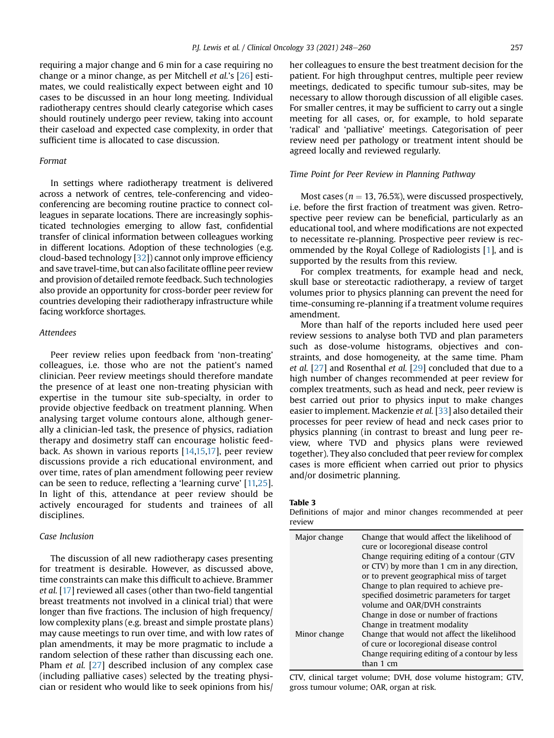requiring a major change and 6 min for a case requiring no change or a minor change, as per Mitchell et al.'s [[26\]](#page-12-22) estimates, we could realistically expect between eight and 10 cases to be discussed in an hour long meeting. Individual radiotherapy centres should clearly categorise which cases should routinely undergo peer review, taking into account their caseload and expected case complexity, in order that sufficient time is allocated to case discussion.

#### Format

In settings where radiotherapy treatment is delivered across a network of centres, tele-conferencing and videoconferencing are becoming routine practice to connect colleagues in separate locations. There are increasingly sophisticated technologies emerging to allow fast, confidential transfer of clinical information between colleagues working in different locations. Adoption of these technologies (e.g. cloud-based technology [\[32](#page-12-41)]) cannot only improve efficiency and save travel-time, but can also facilitate offline peer review and provision of detailed remote feedback. Such technologies also provide an opportunity for cross-border peer review for countries developing their radiotherapy infrastructure while facing workforce shortages.

## Attendees

Peer review relies upon feedback from 'non-treating' colleagues, i.e. those who are not the patient's named clinician. Peer review meetings should therefore mandate the presence of at least one non-treating physician with expertise in the tumour site sub-specialty, in order to provide objective feedback on treatment planning. When analysing target volume contours alone, although generally a clinician-led task, the presence of physics, radiation therapy and dosimetry staff can encourage holistic feedback. As shown in various reports [[14](#page-12-6)[,15,](#page-12-7)[17](#page-12-17)], peer review discussions provide a rich educational environment, and over time, rates of plan amendment following peer review can be seen to reduce, reflecting a 'learning curve' [[11,](#page-12-3)[25](#page-12-11)]. In light of this, attendance at peer review should be actively encouraged for students and trainees of all disciplines.

# Case Inclusion

The discussion of all new radiotherapy cases presenting for treatment is desirable. However, as discussed above, time constraints can make this difficult to achieve. Brammer et al. [\[17\]](#page-12-17) reviewed all cases (other than two-field tangential breast treatments not involved in a clinical trial) that were longer than five fractions. The inclusion of high frequency/ low complexity plans (e.g. breast and simple prostate plans) may cause meetings to run over time, and with low rates of plan amendments, it may be more pragmatic to include a random selection of these rather than discussing each one. Pham et al. [\[27\]](#page-12-21) described inclusion of any complex case (including palliative cases) selected by the treating physician or resident who would like to seek opinions from his/

her colleagues to ensure the best treatment decision for the patient. For high throughput centres, multiple peer review meetings, dedicated to specific tumour sub-sites, may be necessary to allow thorough discussion of all eligible cases. For smaller centres, it may be sufficient to carry out a single meeting for all cases, or, for example, to hold separate 'radical' and 'palliative' meetings. Categorisation of peer review need per pathology or treatment intent should be agreed locally and reviewed regularly.

#### Time Point for Peer Review in Planning Pathway

Most cases ( $n = 13, 76.5\%$ ), were discussed prospectively, i.e. before the first fraction of treatment was given. Retrospective peer review can be beneficial, particularly as an educational tool, and where modifications are not expected to necessitate re-planning. Prospective peer review is recommended by the Royal College of Radiologists [[1](#page-11-0)], and is supported by the results from this review.

For complex treatments, for example head and neck, skull base or stereotactic radiotherapy, a review of target volumes prior to physics planning can prevent the need for time-consuming re-planning if a treatment volume requires amendment.

More than half of the reports included here used peer review sessions to analyse both TVD and plan parameters such as dose-volume histograms, objectives and constraints, and dose homogeneity, at the same time. Pham et al. [[27](#page-12-21)] and Rosenthal et al. [\[29\]](#page-12-12) concluded that due to a high number of changes recommended at peer review for complex treatments, such as head and neck, peer review is best carried out prior to physics input to make changes easier to implement. Mackenzie et al. [\[33](#page-12-42)] also detailed their processes for peer review of head and neck cases prior to physics planning (in contrast to breast and lung peer review, where TVD and physics plans were reviewed together). They also concluded that peer review for complex cases is more efficient when carried out prior to physics and/or dosimetric planning.

Definitions of major and minor changes recommended at peer review

| Major change | Change that would affect the likelihood of<br>cure or locoregional disease control |
|--------------|------------------------------------------------------------------------------------|
|              | Change requiring editing of a contour (GTV                                         |
|              | or CTV) by more than 1 cm in any direction,                                        |
|              | or to prevent geographical miss of target                                          |
|              | Change to plan required to achieve pre-                                            |
|              | specified dosimetric parameters for target                                         |
|              | volume and OAR/DVH constraints                                                     |
|              | Change in dose or number of fractions                                              |
|              | Change in treatment modality                                                       |
| Minor change | Change that would not affect the likelihood                                        |
|              | of cure or locoregional disease control                                            |
|              | Change requiring editing of a contour by less                                      |
|              | than 1 cm                                                                          |

CTV, clinical target volume; DVH, dose volume histogram; GTV, gross tumour volume; OAR, organ at risk.

<span id="page-9-0"></span>Table 3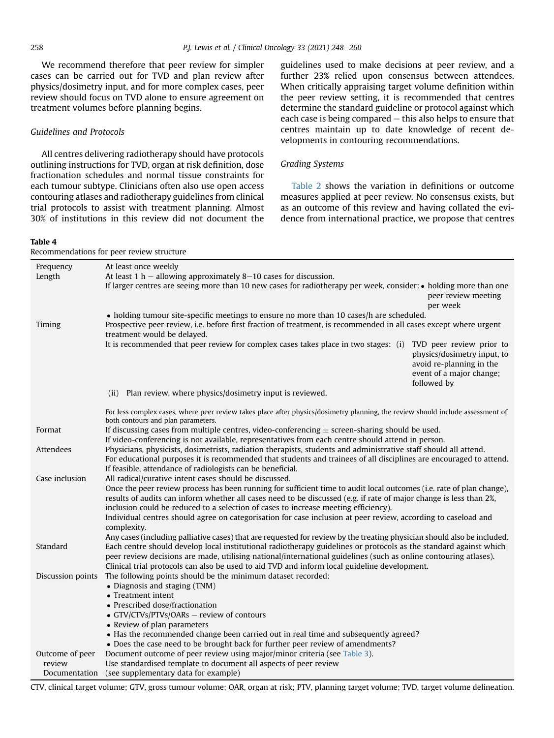We recommend therefore that peer review for simpler cases can be carried out for TVD and plan review after physics/dosimetry input, and for more complex cases, peer review should focus on TVD alone to ensure agreement on treatment volumes before planning begins.

# Guidelines and Protocols

All centres delivering radiotherapy should have protocols outlining instructions for TVD, organ at risk definition, dose fractionation schedules and normal tissue constraints for each tumour subtype. Clinicians often also use open access contouring atlases and radiotherapy guidelines from clinical trial protocols to assist with treatment planning. Almost 30% of institutions in this review did not document the guidelines used to make decisions at peer review, and a further 23% relied upon consensus between attendees. When critically appraising target volume definition within the peer review setting, it is recommended that centres determine the standard guideline or protocol against which each case is being compared  $-$  this also helps to ensure that centres maintain up to date knowledge of recent developments in contouring recommendations.

#### Grading Systems

[Table 2](#page-7-0) shows the variation in definitions or outcome measures applied at peer review. No consensus exists, but as an outcome of this review and having collated the evidence from international practice, we propose that centres

|                   | Recommendations for peer review structure                                                                                       |                             |
|-------------------|---------------------------------------------------------------------------------------------------------------------------------|-----------------------------|
| Frequency         | At least once weekly                                                                                                            |                             |
| Length            | At least $1 h -$ allowing approximately 8-10 cases for discussion.                                                              |                             |
|                   | If larger centres are seeing more than 10 new cases for radiotherapy per week, consider: • holding more than one                |                             |
|                   |                                                                                                                                 | peer review meeting         |
|                   |                                                                                                                                 | per week                    |
|                   | • holding tumour site-specific meetings to ensure no more than 10 cases/h are scheduled.                                        |                             |
| Timing            | Prospective peer review, i.e. before first fraction of treatment, is recommended in all cases except where urgent               |                             |
|                   | treatment would be delayed.                                                                                                     |                             |
|                   | It is recommended that peer review for complex cases takes place in two stages: (i)                                             | TVD peer review prior to    |
|                   |                                                                                                                                 | physics/dosimetry input, to |
|                   |                                                                                                                                 | avoid re-planning in the    |
|                   |                                                                                                                                 | event of a major change;    |
|                   |                                                                                                                                 | followed by                 |
|                   | Plan review, where physics/dosimetry input is reviewed.<br>(ii)                                                                 |                             |
|                   | For less complex cases, where peer review takes place after physics/dosimetry planning, the review should include assessment of |                             |
|                   | both contours and plan parameters.                                                                                              |                             |
| Format            | If discussing cases from multiple centres, video-conferencing $\pm$ screen-sharing should be used.                              |                             |
|                   | If video-conferencing is not available, representatives from each centre should attend in person.                               |                             |
| Attendees         | Physicians, physicists, dosimetrists, radiation therapists, students and administrative staff should all attend.                |                             |
|                   | For educational purposes it is recommended that students and trainees of all disciplines are encouraged to attend.              |                             |
|                   | If feasible, attendance of radiologists can be beneficial.                                                                      |                             |
| Case inclusion    | All radical/curative intent cases should be discussed.                                                                          |                             |
|                   | Once the peer review process has been running for sufficient time to audit local outcomes (i.e. rate of plan change),           |                             |
|                   | results of audits can inform whether all cases need to be discussed (e.g. if rate of major change is less than 2%,              |                             |
|                   | inclusion could be reduced to a selection of cases to increase meeting efficiency).                                             |                             |
|                   | Individual centres should agree on categorisation for case inclusion at peer review, according to caseload and                  |                             |
|                   | complexity.                                                                                                                     |                             |
|                   | Any cases (including palliative cases) that are requested for review by the treating physician should also be included.         |                             |
| Standard          | Each centre should develop local institutional radiotherapy guidelines or protocols as the standard against which               |                             |
|                   | peer review decisions are made, utilising national/international guidelines (such as online contouring atlases).                |                             |
|                   | Clinical trial protocols can also be used to aid TVD and inform local guideline development.                                    |                             |
| Discussion points | The following points should be the minimum dataset recorded:                                                                    |                             |
|                   | • Diagnosis and staging (TNM)                                                                                                   |                             |
|                   | • Treatment intent                                                                                                              |                             |
|                   | • Prescribed dose/fractionation                                                                                                 |                             |
|                   | • $GTV/CTVs/PTVs/OARS - review of contours$                                                                                     |                             |
|                   | • Review of plan parameters                                                                                                     |                             |
|                   | • Has the recommended change been carried out in real time and subsequently agreed?                                             |                             |
|                   | • Does the case need to be brought back for further peer review of amendments?                                                  |                             |
| Outcome of peer   | Document outcome of peer review using major/minor criteria (see Table 3).                                                       |                             |
| review            | Use standardised template to document all aspects of peer review                                                                |                             |
| Documentation     | (see supplementary data for example)                                                                                            |                             |

CTV, clinical target volume; GTV, gross tumour volume; OAR, organ at risk; PTV, planning target volume; TVD, target volume delineation.

<span id="page-10-0"></span>Table 4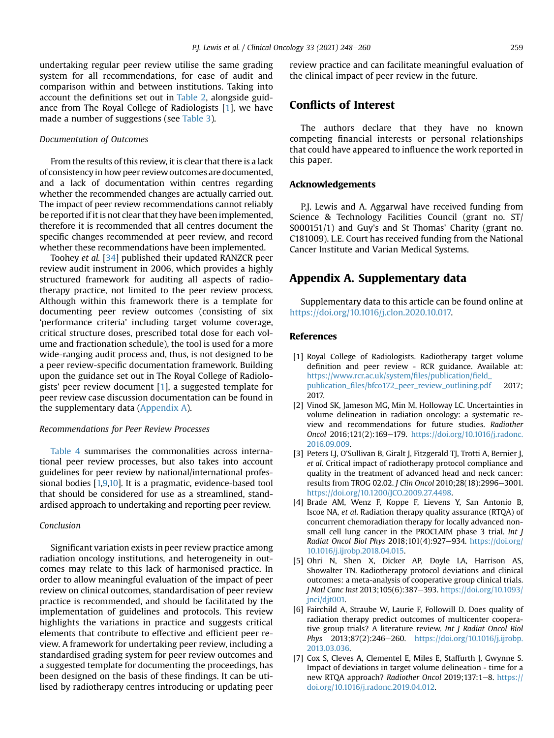undertaking regular peer review utilise the same grading system for all recommendations, for ease of audit and comparison within and between institutions. Taking into account the definitions set out in [Table 2](#page-7-0), alongside guidance from The Royal College of Radiologists [\[1\]](#page-11-0), we have made a number of suggestions (see [Table 3\)](#page-9-0).

## Documentation of Outcomes

From the results of this review, it is clear that there is a lack of consistency in how peer review outcomes are documented, and a lack of documentation within centres regarding whether the recommended changes are actually carried out. The impact of peer review recommendations cannot reliably be reported if it is not clear that they have been implemented, therefore it is recommended that all centres document the specific changes recommended at peer review, and record whether these recommendations have been implemented.

Toohey et al. [[34\]](#page-12-43) published their updated RANZCR peer review audit instrument in 2006, which provides a highly structured framework for auditing all aspects of radiotherapy practice, not limited to the peer review process. Although within this framework there is a template for documenting peer review outcomes (consisting of six 'performance criteria' including target volume coverage, critical structure doses, prescribed total dose for each volume and fractionation schedule), the tool is used for a more wide-ranging audit process and, thus, is not designed to be a peer review-specific documentation framework. Building upon the guidance set out in The Royal College of Radiologists' peer review document [\[1\]](#page-11-0), a suggested template for peer review case discussion documentation can be found in the supplementary data (Appendix A).

## Recommendations for Peer Review Processes

[Table 4](#page-10-0) summarises the commonalities across international peer review processes, but also takes into account guidelines for peer review by national/international professional bodies [[1,](#page-11-0)[9,](#page-12-1)[10\]](#page-12-2). It is a pragmatic, evidence-based tool that should be considered for use as a streamlined, standardised approach to undertaking and reporting peer review.

#### Conclusion

Significant variation exists in peer review practice among radiation oncology institutions, and heterogeneity in outcomes may relate to this lack of harmonised practice. In order to allow meaningful evaluation of the impact of peer review on clinical outcomes, standardisation of peer review practice is recommended, and should be facilitated by the implementation of guidelines and protocols. This review highlights the variations in practice and suggests critical elements that contribute to effective and efficient peer review. A framework for undertaking peer review, including a standardised grading system for peer review outcomes and a suggested template for documenting the proceedings, has been designed on the basis of these findings. It can be utilised by radiotherapy centres introducing or updating peer

review practice and can facilitate meaningful evaluation of the clinical impact of peer review in the future.

# Conflicts of Interest

The authors declare that they have no known competing financial interests or personal relationships that could have appeared to influence the work reported in this paper.

#### Acknowledgements

P.J. Lewis and A. Aggarwal have received funding from Science & Technology Facilities Council (grant no. ST/ S000151/1) and Guy's and St Thomas' Charity (grant no. C181009). L.E. Court has received funding from the National Cancer Institute and Varian Medical Systems.

# Appendix A. Supplementary data

Supplementary data to this article can be found online at [https://doi.org/10.1016/j.clon.2020.10.017.](https://doi.org/10.1016/j.clon.2020.10.017)

# <span id="page-11-0"></span>References

- [1] Royal College of Radiologists. Radiotherapy target volume definition and peer review - RCR guidance. Available at: [https://www.rcr.ac.uk/system/](https://www.rcr.ac.uk/system/files/publication/field_publication_files/bfco172_peer_review_outlining.pdf)files/publication/field\_ publication\_fi[les/bfco172\\_peer\\_review\\_outlining.pdf](https://www.rcr.ac.uk/system/files/publication/field_publication_files/bfco172_peer_review_outlining.pdf) 2017; 2017.
- <span id="page-11-1"></span>[2] Vinod SK, Jameson MG, Min M, Holloway LC. Uncertainties in volume delineation in radiation oncology: a systematic review and recommendations for future studies. Radiother Oncol 2016;121(2):169-179. [https://doi.org/10.1016/j.radonc.](https://doi.org/10.1016/j.radonc.2016.09.009) [2016.09.009](https://doi.org/10.1016/j.radonc.2016.09.009).
- <span id="page-11-2"></span>[3] Peters LJ, O'Sullivan B, Giralt J, Fitzgerald TJ, Trotti A, Bernier J, et al. Critical impact of radiotherapy protocol compliance and quality in the treatment of advanced head and neck cancer: results from TROG 02.02. J Clin Oncol 2010;28(18):2996-3001. <https://doi.org/10.1200/JCO.2009.27.4498>.
- [4] Brade AM, Wenz F, Koppe F, Lievens Y, San Antonio B, Iscoe NA, et al. Radiation therapy quality assurance (RTQA) of concurrent chemoradiation therapy for locally advanced nonsmall cell lung cancer in the PROCLAIM phase 3 trial. Int J Radiat Oncol Biol Phys 2018;101(4):927-934. [https://doi.org/](https://doi.org/10.1016/j.ijrobp.2018.04.015) [10.1016/j.ijrobp.2018.04.015](https://doi.org/10.1016/j.ijrobp.2018.04.015).
- [5] Ohri N, Shen X, Dicker AP, Doyle LA, Harrison AS, Showalter TN. Radiotherapy protocol deviations and clinical outcomes: a meta-analysis of cooperative group clinical trials. J Natl Canc Inst 2013;105(6):387-393. [https://doi.org/10.1093/](https://doi.org/10.1093/jnci/djt001) [jnci/djt001.](https://doi.org/10.1093/jnci/djt001)
- <span id="page-11-3"></span>[6] Fairchild A, Straube W, Laurie F, Followill D. Does quality of radiation therapy predict outcomes of multicenter cooperative group trials? A literature review. Int J Radiat Oncol Biol Phys 2013;87(2):246-260. [https://doi.org/10.1016/j.ijrobp.](https://doi.org/10.1016/j.ijrobp.2013.03.036) [2013.03.036.](https://doi.org/10.1016/j.ijrobp.2013.03.036)
- <span id="page-11-4"></span>[7] Cox S, Cleves A, Clementel E, Miles E, Staffurth J, Gwynne S. Impact of deviations in target volume delineation - time for a new RTQA approach? Radiother Oncol 2019;137:1-8. [https://](https://doi.org/10.1016/j.radonc.2019.04.012) [doi.org/10.1016/j.radonc.2019.04.012](https://doi.org/10.1016/j.radonc.2019.04.012).